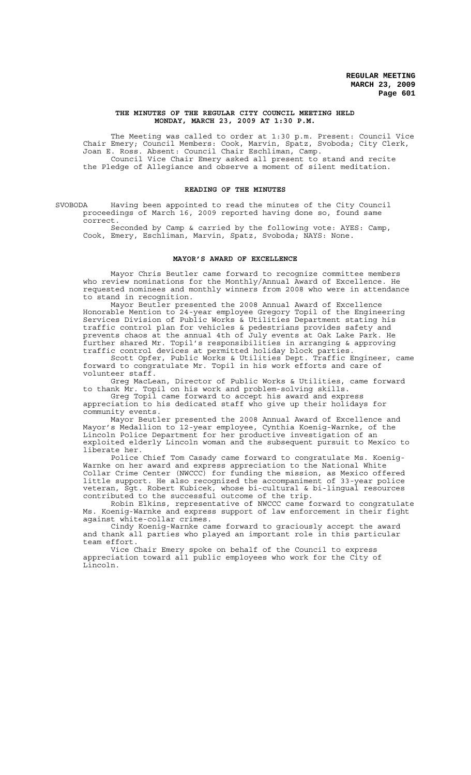### **THE MINUTES OF THE REGULAR CITY COUNCIL MEETING HELD MONDAY, MARCH 23, 2009 AT 1:30 P.M.**

The Meeting was called to order at 1:30 p.m. Present: Council Vice Chair Emery; Council Members: Cook, Marvin, Spatz, Svoboda; City Clerk, Joan E. Ross. Absent: Council Chair Eschliman, Camp. Council Vice Chair Emery asked all present to stand and recite the Pledge of Allegiance and observe a moment of silent meditation.

### **READING OF THE MINUTES**

SVOBODA Having been appointed to read the minutes of the City Council proceedings of March 16, 2009 reported having done so, found same correct.

Seconded by Camp & carried by the following vote: AYES: Camp, Cook, Emery, Eschliman, Marvin, Spatz, Svoboda; NAYS: None.

### **MAYOR'S AWARD OF EXCELLENCE**

Mayor Chris Beutler came forward to recognize committee members who review nominations for the Monthly/Annual Award of Excellence. He requested nominees and monthly winners from 2008 who were in attendance to stand in recognition.

Mayor Beutler presented the 2008 Annual Award of Excellence Honorable Mention to 24-year employee Gregory Topil of the Engineering Services Division of Public Works & Utilities Department stating his traffic control plan for vehicles & pedestrians provides safety and prevents chaos at the annual 4th of July events at Oak Lake Park. He further shared Mr. Topil's responsibilities in arranging & approving traffic control devices at permitted holiday block parties.

Scott Opfer, Public Works & Utilities Dept. Traffic Engineer, came forward to congratulate Mr. Topil in his work efforts and care of volunteer staff.

Greg MacLean, Director of Public Works & Utilities, came forward to thank Mr. Topil on his work and problem-solving skills.

Greg Topil came forward to accept his award and express appreciation to his dedicated staff who give up their holidays for community events.

Mayor Beutler presented the 2008 Annual Award of Excellence and Mayor's Medallion to 12-year employee, Cynthia Koenig-Warnke, of the Lincoln Police Department for her productive investigation of an exploited elderly Lincoln woman and the subsequent pursuit to Mexico to liberate her.

Police Chief Tom Casady came forward to congratulate Ms. Koenig-Warnke on her award and express appreciation to the National White Collar Crime Center (NWCCC) for funding the mission, as Mexico offered little support. He also recognized the accompaniment of 33-year police veteran, Sgt. Robert Kubicek, whose bi-cultural & bi-lingual resources contributed to the successful outcome of the trip.

Robin Elkins, representative of NWCCC came forward to congratulate Ms. Koenig-Warnke and express support of law enforcement in their fight against white-collar crimes.

Cindy Koenig-Warnke came forward to graciously accept the award and thank all parties who played an important role in this particular team effort.

Vice Chair Emery spoke on behalf of the Council to express appreciation toward all public employees who work for the City of Lincoln.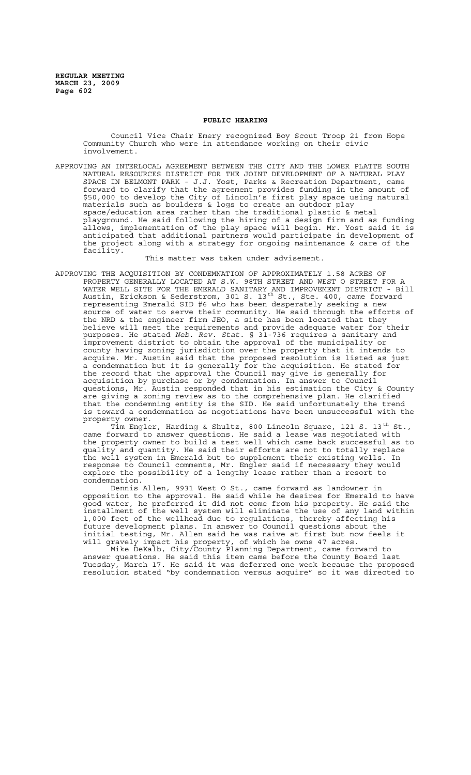### **PUBLIC HEARING**

Council Vice Chair Emery recognized Boy Scout Troop 21 from Hope Community Church who were in attendance working on their civic involvement.

APPROVING AN INTERLOCAL AGREEMENT BETWEEN THE CITY AND THE LOWER PLATTE SOUTH NATURAL RESOURCES DISTRICT FOR THE JOINT DEVELOPMENT OF A NATURAL PLAY SPACE IN BELMONT PARK - J.J. Yost, Parks & Recreation Department, came forward to clarify that the agreement provides funding in the amount of \$50,000 to develop the City of Lincoln's first play space using natural materials such as boulders & logs to create an outdoor play space/education area rather than the traditional plastic & metal playground. He said following the hiring of a design firm and as funding allows, implementation of the play space will begin. Mr. Yost said it is anticipated that additional partners would participate in development of the project along with a strategy for ongoing maintenance & care of the facility.

This matter was taken under advisement.

APPROVING THE ACQUISITION BY CONDEMNATION OF APPROXIMATELY 1.58 ACRES OF PROPERTY GENERALLY LOCATED AT S.W. 98TH STREET AND WEST O STREET FOR A WATER WELL SITE FOR THE EMERALD SANITARY AND IMPROVEMENT DISTRICT - Bill Austin, Erickson & Sederstrom, 301 S. 13<sup>th</sup> St., Ste. 400, came forward representing Emerald SID #6 who has been desperately seeking a new source of water to serve their community. He said through the efforts of the NRD & the engineer firm JEO, a site has been located that they believe will meet the requirements and provide adequate water for their purposes. He stated *Neb. Rev. Stat.* § 31-736 requires a sanitary and improvement district to obtain the approval of the municipality or county having zoning jurisdiction over the property that it intends to acquire. Mr. Austin said that the proposed resolution is listed as just a condemnation but it is generally for the acquisition. He stated for the record that the approval the Council may give is generally for acquisition by purchase or by condemnation. In answer to Council questions, Mr. Austin responded that in his estimation the City & County are giving a zoning review as to the comprehensive plan. He clarified that the condemning entity is the SID. He said unfortunately the trend is toward a condemnation as negotiations have been unsuccessful with the property owner.

Tim Engler, Harding & Shultz, 800 Lincoln Square, 121 S. 13<sup>th</sup> St., came forward to answer questions. He said a lease was negotiated with the property owner to build a test well which came back successful as to quality and quantity. He said their efforts are not to totally replace the well system in Emerald but to supplement their existing wells. In response to Council comments, Mr. Engler said if necessary they would explore the possibility of a lengthy lease rather than a resort to condemnation.

Dennis Allen, 9931 West O St., came forward as landowner in opposition to the approval. He said while he desires for Emerald to have good water, he preferred it did not come from his property. He said the installment of the well system will eliminate the use of any land within 1,000 feet of the wellhead due to regulations, thereby affecting his future development plans. In answer to Council questions about the initial testing, Mr. Allen said he was naive at first but now feels it will gravely impact his property, of which he owns 47 acres.

Mike DeKalb, City/County Planning Department, came forward to answer questions. He said this item came before the County Board last Tuesday, March 17. He said it was deferred one week because the proposed resolution stated "by condemnation versus acquire" so it was directed to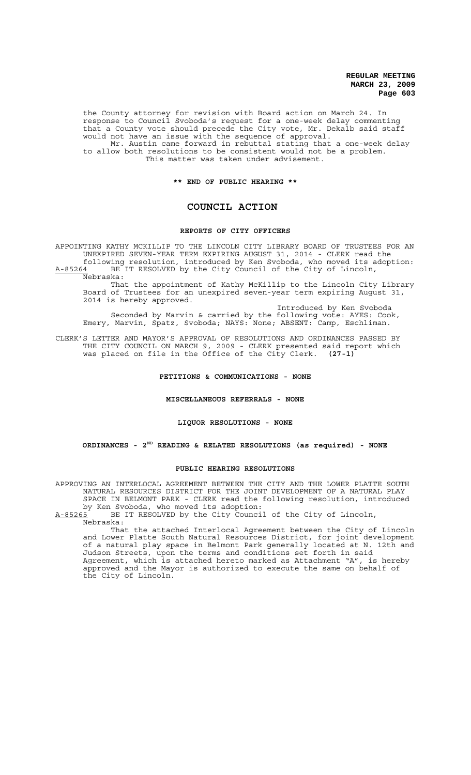**REGULAR MEETING MARCH 23, 2009 Page 603**

the County attorney for revision with Board action on March 24. In response to Council Svoboda's request for a one-week delay commenting that a County vote should precede the City vote, Mr. Dekalb said staff would not have an issue with the sequence of approval. Mr. Austin came forward in rebuttal stating that a one-week delay to allow both resolutions to be consistent would not be a problem. This matter was taken under advisement.

### **\*\* END OF PUBLIC HEARING \*\***

## **COUNCIL ACTION**

### **REPORTS OF CITY OFFICERS**

APPOINTING KATHY MCKILLIP TO THE LINCOLN CITY LIBRARY BOARD OF TRUSTEES FOR AN UNEXPIRED SEVEN-YEAR TERM EXPIRING AUGUST 31, 2014 - CLERK read the following resolution, introduced by Ken Svoboda, who moved its adoption: A-85264 BE IT RESOLVED by the City Council of the City of Lincoln, Nebraska:

That the appointment of Kathy McKillip to the Lincoln City Library Board of Trustees for an unexpired seven-year term expiring August 31, 2014 is hereby approved.

Introduced by Ken Svoboda Seconded by Marvin & carried by the following vote: AYES: Cook, Emery, Marvin, Spatz, Svoboda; NAYS: None; ABSENT: Camp, Eschliman.

CLERK'S LETTER AND MAYOR'S APPROVAL OF RESOLUTIONS AND ORDINANCES PASSED BY THE CITY COUNCIL ON MARCH 9, 2009 - CLERK presented said report which was placed on file in the Office of the City Clerk. **(27-1)**

### **PETITIONS & COMMUNICATIONS - NONE**

#### **MISCELLANEOUS REFERRALS - NONE**

### **LIQUOR RESOLUTIONS - NONE**

# **ORDINANCES - 2ND READING & RELATED RESOLUTIONS (as required) - NONE**

### **PUBLIC HEARING RESOLUTIONS**

APPROVING AN INTERLOCAL AGREEMENT BETWEEN THE CITY AND THE LOWER PLATTE SOUTH NATURAL RESOURCES DISTRICT FOR THE JOINT DEVELOPMENT OF A NATURAL PLAY SPACE IN BELMONT PARK - CLERK read the following resolution, introduced by Ken Svoboda, who moved its adoption:

A-85265 BE IT RESOLVED by the City Council of the City of Lincoln, Nebraska:

That the attached Interlocal Agreement between the City of Lincoln and Lower Platte South Natural Resources District, for joint development of a natural play space in Belmont Park generally located at N. 12th and Judson Streets, upon the terms and conditions set forth in said Agreement, which is attached hereto marked as Attachment "A", is hereby approved and the Mayor is authorized to execute the same on behalf of the City of Lincoln.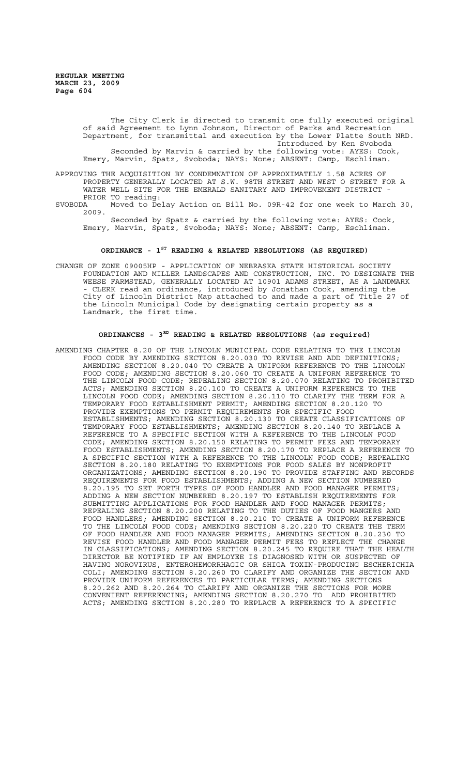The City Clerk is directed to transmit one fully executed original of said Agreement to Lynn Johnson, Director of Parks and Recreation Department, for transmittal and execution by the Lower Platte South NRD. Introduced by Ken Svoboda Seconded by Marvin & carried by the following vote: AYES: Cook, Emery, Marvin, Spatz, Svoboda; NAYS: None; ABSENT: Camp, Eschliman.

APPROVING THE ACQUISITION BY CONDEMNATION OF APPROXIMATELY 1.58 ACRES OF PROPERTY GENERALLY LOCATED AT S.W. 98TH STREET AND WEST O STREET FOR A WATER WELL SITE FOR THE EMERALD SANITARY AND IMPROVEMENT DISTRICT -

PRIOR TO reading:<br>SVOBODA Moved to De Moved to Delay Action on Bill No. 09R-42 for one week to March 30, 2009.

Seconded by Spatz & carried by the following vote: AYES: Cook, Emery, Marvin, Spatz, Svoboda; NAYS: None; ABSENT: Camp, Eschliman.

# **ORDINANCE - 1ST READING & RELATED RESOLUTIONS (AS REQUIRED)**

CHANGE OF ZONE 09005HP - APPLICATION OF NEBRASKA STATE HISTORICAL SOCIETY FOUNDATION AND MILLER LANDSCAPES AND CONSTRUCTION, INC. TO DESIGNATE THE WEESE FARMSTEAD, GENERALLY LOCATED AT 10901 ADAMS STREET, AS A LANDMARK - CLERK read an ordinance, introduced by Jonathan Cook, amending the City of Lincoln District Map attached to and made a part of Title 27 of the Lincoln Municipal Code by designating certain property as a Landmark, the first time.

# ORDINANCES - 3<sup>RD</sup> READING & RELATED RESOLUTIONS (as required)

AMENDING CHAPTER 8.20 OF THE LINCOLN MUNICIPAL CODE RELATING TO THE LINCOLN FOOD CODE BY AMENDING SECTION 8.20.030 TO REVISE AND ADD DEFINITIONS; AMENDING SECTION 8.20.040 TO CREATE A UNIFORM REFERENCE TO THE LINCOLN FOOD CODE; AMENDING SECTION 8.20.060 TO CREATE A UNIFORM REFERENCE TO THE LINCOLN FOOD CODE; REPEALING SECTION 8.20.070 RELATING TO PROHIBITED ACTS; AMENDING SECTION 8.20.100 TO CREATE A UNIFORM REFERENCE TO THE LINCOLN FOOD CODE; AMENDING SECTION 8.20.110 TO CLARIFY THE TERM FOR A TEMPORARY FOOD ESTABLISHMENT PERMIT; AMENDING SECTION 8.20.120 TO PROVIDE EXEMPTIONS TO PERMIT REQUIREMENTS FOR SPECIFIC FOOD ESTABLISHMENTS; AMENDING SECTION 8.20.130 TO CREATE CLASSIFICATIONS OF TEMPORARY FOOD ESTABLISHMENTS; AMENDING SECTION 8.20.140 TO REPLACE A REFERENCE TO A SPECIFIC SECTION WITH A REFERENCE TO THE LINCOLN FOOD CODE; AMENDING SECTION 8.20.150 RELATING TO PERMIT FEES AND TEMPORARY FOOD ESTABLISHMENTS; AMENDING SECTION 8.20.170 TO REPLACE A REFERENCE TO A SPECIFIC SECTION WITH A REFERENCE TO THE LINCOLN FOOD CODE; REPEALING SECTION 8.20.180 RELATING TO EXEMPTIONS FOR FOOD SALES BY NONPROFIT ORGANIZATIONS; AMENDING SECTION 8.20.190 TO PROVIDE STAFFING AND RECORDS REQUIREMENTS FOR FOOD ESTABLISHMENTS; ADDING A NEW SECTION NUMBERED 8.20.195 TO SET FORTH TYPES OF FOOD HANDLER AND FOOD MANAGER PERMITS; ADDING A NEW SECTION NUMBERED 8.20.197 TO ESTABLISH REQUIREMENTS FOR SUBMITTING APPLICATIONS FOR FOOD HANDLER AND FOOD MANAGER PERMITS; REPEALING SECTION 8.20.200 RELATING TO THE DUTIES OF FOOD MANGERS AND FOOD HANDLERS; AMENDING SECTION 8.20.210 TO CREATE A UNIFORM REFERENCE TO THE LINCOLN FOOD CODE; AMENDING SECTION 8.20.220 TO CREATE THE TERM OF FOOD HANDLER AND FOOD MANAGER PERMITS; AMENDING SECTION 8.20.230 TO REVISE FOOD HANDLER AND FOOD MANAGER PERMIT FEES TO REFLECT THE CHANGE IN CLASSIFICATIONS; AMENDING SECTION 8.20.245 TO REQUIRE THAT THE HEALTH DIRECTOR BE NOTIFIED IF AN EMPLOYEE IS DIAGNOSED WITH OR SUSPECTED OF HAVING NOROVIRUS, ENTEROHEMORRHAGIC OR SHIGA TOXIN-PRODUCING ESCHERICHIA COLI; AMENDING SECTION 8.20.260 TO CLARIFY AND ORGANIZE THE SECTION AND PROVIDE UNIFORM REFERENCES TO PARTICULAR TERMS; AMENDING SECTIONS 8.20.262 AND 8.20.264 TO CLARIFY AND ORGANIZE THE SECTIONS FOR MORE CONVENIENT REFERENCING; AMENDING SECTION 8.20.270 TO ADD PROHIBITED ACTS; AMENDING SECTION 8.20.280 TO REPLACE A REFERENCE TO A SPECIFIC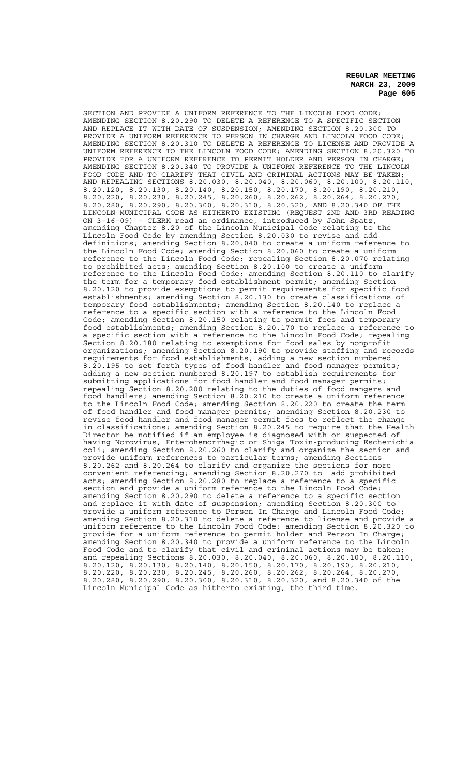**REGULAR MEETING MARCH 23, 2009 Page 605**

SECTION AND PROVIDE A UNIFORM REFERENCE TO THE LINCOLN FOOD CODE; AMENDING SECTION 8.20.290 TO DELETE A REFERENCE TO A SPECIFIC SECTION AND REPLACE IT WITH DATE OF SUSPENSION; AMENDING SECTION 8.20.300 TO PROVIDE A UNIFORM REFERENCE TO PERSON IN CHARGE AND LINCOLN FOOD CODE; AMENDING SECTION 8.20.310 TO DELETE A REFERENCE TO LICENSE AND PROVIDE A UNIFORM REFERENCE TO THE LINCOLN FOOD CODE; AMENDING SECTION 8.20.320 TO PROVIDE FOR A UNIFORM REFERENCE TO PERMIT HOLDER AND PERSON IN CHARGE; AMENDING SECTION 8.20.340 TO PROVIDE A UNIFORM REFERENCE TO THE LINCOLN FOOD CODE AND TO CLARIFY THAT CIVIL AND CRIMINAL ACTIONS MAY BE TAKEN; AND REPEALING SECTIONS 8.20.030, 8.20.040, 8.20.060, 8.20.100, 8.20.110, 8.20.120, 8.20.130, 8.20.140, 8.20.150, 8.20.170, 8.20.190, 8.20.210, 8.20.220, 8.20.230, 8.20.245, 8.20.260, 8.20.262, 8.20.264, 8.20.270, 8.20.280, 8.20.290, 8.20.300, 8.20.310, 8.20.320, AND 8.20.340 OF THE LINCOLN MUNICIPAL CODE AS HITHERTO EXISTING (REQUEST 2ND AND 3RD READING ON 3-16-09) - CLERK read an ordinance, introduced by John Spatz, amending Chapter 8.20 of the Lincoln Municipal Code relating to the Lincoln Food Code by amending Section 8.20.030 to revise and add definitions; amending Section 8.20.040 to create a uniform reference to the Lincoln Food Code; amending Section 8.20.060 to create a uniform reference to the Lincoln Food Code; repealing Section 8.20.070 relating to prohibited acts; amending Section 8.20.100 to create a uniform reference to the Lincoln Food Code; amending Section 8.20.110 to clarify the term for a temporary food establishment permit; amending Section 8.20.120 to provide exemptions to permit requirements for specific food establishments; amending Section 8.20.130 to create classifications of temporary food establishments; amending Section 8.20.140 to replace a reference to a specific section with a reference to the Lincoln Food Code; amending Section 8.20.150 relating to permit fees and temporary food establishments; amending Section 8.20.170 to replace a reference to a specific section with a reference to the Lincoln Food Code; repealing Section 8.20.180 relating to exemptions for food sales by nonprofit organizations; amending Section 8.20.190 to provide staffing and records requirements for food establishments; adding a new section numbered 8.20.195 to set forth types of food handler and food manager permits; adding a new section numbered 8.20.197 to establish requirements for submitting applications for food handler and food manager permits; repealing Section 8.20.200 relating to the duties of food mangers and food handlers; amending Section 8.20.210 to create a uniform reference to the Lincoln Food Code; amending Section 8.20.220 to create the term of food handler and food manager permits; amending Section 8.20.230 to revise food handler and food manager permit fees to reflect the change in classifications; amending Section 8.20.245 to require that the Health Director be notified if an employee is diagnosed with or suspected of having Norovirus, Enterohemorrhagic or Shiga Toxin-producing Escherichia coli; amending Section 8.20.260 to clarify and organize the section and provide uniform references to particular terms; amending Sections 8.20.262 and 8.20.264 to clarify and organize the sections for more convenient referencing; amending Section 8.20.270 to add prohibited acts; amending Section 8.20.280 to replace a reference to a specific section and provide a uniform reference to the Lincoln Food Code; amending Section 8.20.290 to delete a reference to a specific section and replace it with date of suspension; amending Section 8.20.300 to provide a uniform reference to Person In Charge and Lincoln Food Code; amending Section 8.20.310 to delete a reference to license and provide a uniform reference to the Lincoln Food Code; amending Section 8.20.320 to provide for a uniform reference to permit holder and Person In Charge; amending Section 8.20.340 to provide a uniform reference to the Lincoln Food Code and to clarify that civil and criminal actions may be taken; and repealing Sections 8.20.030, 8.20.040, 8.20.060, 8.20.100, 8.20.110, 8.20.120, 8.20.130, 8.20.140, 8.20.150, 8.20.170, 8.20.190, 8.20.210, 8.20.220, 8.20.230, 8.20.245, 8.20.260, 8.20.262, 8.20.264, 8.20.270, 8.20.280, 8.20.290, 8.20.300, 8.20.310, 8.20.320, and 8.20.340 of the Lincoln Municipal Code as hitherto existing, the third time.